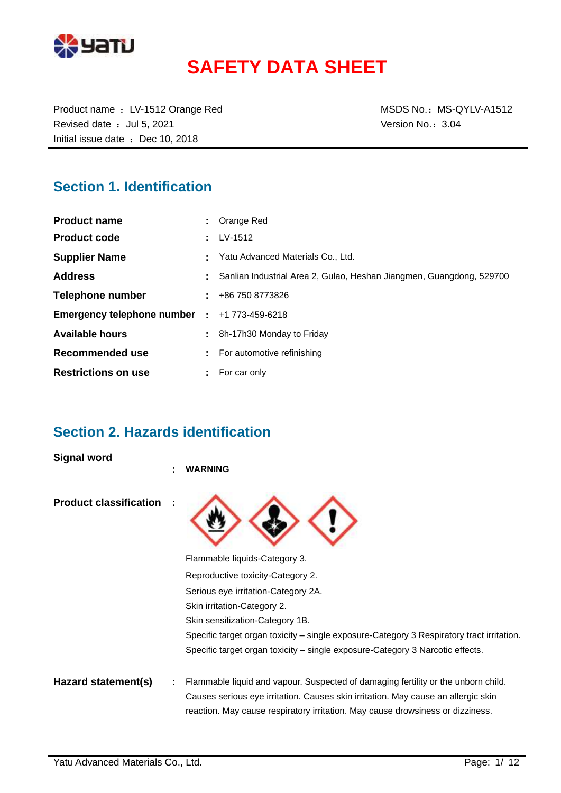

# **SAFETY DATA SHEET**

Product name : LV-1512 Orange Red MSDS No.: MS-QYLV-A1512 Revised date : Jul 5, 2021 Version No.: 3.04 Initial issue date : Dec 10, 2018

### **Section 1. Identification**

| <b>Product name</b>          | : Orange Red                                                         |
|------------------------------|----------------------------------------------------------------------|
| <b>Product code</b>          | $\pm$ LV-1512                                                        |
| <b>Supplier Name</b>         | Yatu Advanced Materials Co., Ltd.                                    |
| <b>Address</b>               | Sanlian Industrial Area 2, Gulao, Heshan Jiangmen, Guangdong, 529700 |
| Telephone number             | $\pm 486$ 750 8773826                                                |
| Emergency telephone number : | +1 773-459-6218                                                      |
| <b>Available hours</b>       | 8h-17h30 Monday to Friday                                            |
| Recommended use              | For automotive refinishing                                           |
| <b>Restrictions on use</b>   | For car only                                                         |

### **Section 2. Hazards identification**

**Signal word**

|                               | ٠ | <b>WARNING</b>                                                                                                                                                      |
|-------------------------------|---|---------------------------------------------------------------------------------------------------------------------------------------------------------------------|
| <b>Product classification</b> |   |                                                                                                                                                                     |
|                               |   | Flammable liquids-Category 3.                                                                                                                                       |
|                               |   | Reproductive toxicity-Category 2.                                                                                                                                   |
|                               |   | Serious eye irritation-Category 2A.                                                                                                                                 |
|                               |   | Skin irritation-Category 2.                                                                                                                                         |
|                               |   | Skin sensitization-Category 1B.                                                                                                                                     |
|                               |   | Specific target organ toxicity – single exposure-Category 3 Respiratory tract irritation.                                                                           |
|                               |   | Specific target organ toxicity – single exposure-Category 3 Narcotic effects.                                                                                       |
| Hazard statement(s)           |   | Flammable liquid and vapour. Suspected of damaging fertility or the unborn child.                                                                                   |
|                               |   | Causes serious eye irritation. Causes skin irritation. May cause an allergic skin<br>reaction. May cause respiratory irritation. May cause drowsiness or dizziness. |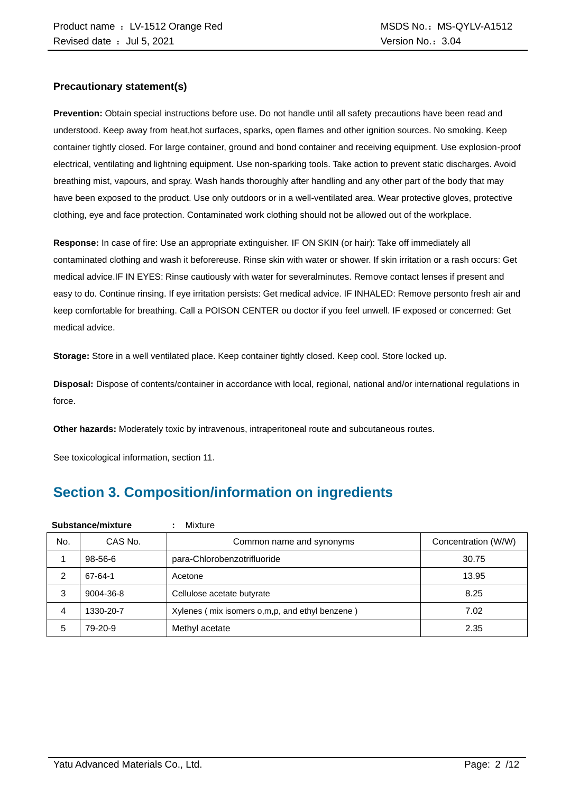#### **Precautionary statement(s)**

**Prevention:** Obtain special instructions before use. Do not handle until all safety precautions have been read and understood. Keep away from heat,hot surfaces, sparks, open flames and other ignition sources. No smoking. Keep container tightly closed. For large container, ground and bond container and receiving equipment. Use explosion-proof electrical, ventilating and lightning equipment. Use non-sparking tools. Take action to prevent static discharges. Avoid breathing mist, vapours, and spray. Wash hands thoroughly after handling and any other part of the body that may have been exposed to the product. Use only outdoors or in a well-ventilated area. Wear protective gloves, protective clothing, eye and face protection. Contaminated work clothing should not be allowed out of the workplace.

**Response:** In case of fire: Use an appropriate extinguisher. IF ON SKIN (or hair): Take off immediately all contaminated clothing and wash it beforereuse. Rinse skin with water or shower. If skin irritation or a rash occurs: Get medical advice.IF IN EYES: Rinse cautiously with water for severalminutes. Remove contact lenses if present and easy to do. Continue rinsing. If eye irritation persists: Get medical advice. IF INHALED: Remove personto fresh air and keep comfortable for breathing. Call a POISON CENTER ou doctor if you feel unwell. IF exposed or concerned: Get medical advice.

**Storage:** Store in a well ventilated place. Keep container tightly closed. Keep cool. Store locked up.

**Disposal:** Dispose of contents/container in accordance with local, regional, national and/or international regulations in force.

**Other hazards:** Moderately toxic by intravenous, intraperitoneal route and subcutaneous routes.

See toxicological information, section 11.

## **Section 3. Composition/information on ingredients**

| Substance/mixture |                                     | Mixture                                        |                     |
|-------------------|-------------------------------------|------------------------------------------------|---------------------|
| No.               | CAS No.<br>Common name and synonyms |                                                | Concentration (W/W) |
|                   | 98-56-6                             | para-Chlorobenzotrifluoride                    | 30.75               |
| 2                 | 67-64-1                             | Acetone                                        | 13.95               |
| 3                 | 9004-36-8                           | Cellulose acetate butyrate                     | 8.25                |
| 4                 | 1330-20-7                           | Xylenes (mix isomers o,m,p, and ethyl benzene) | 7.02                |
| 5                 | 79-20-9                             | Methyl acetate                                 | 2.35                |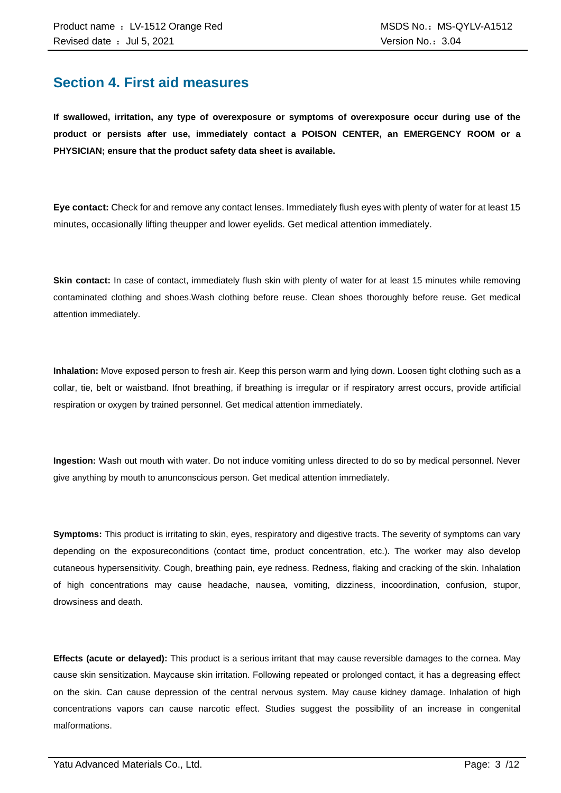### **Section 4. First aid measures**

**If swallowed, irritation, any type of overexposure or symptoms of overexposure occur during use of the product or persists after use, immediately contact a POISON CENTER, an EMERGENCY ROOM or a PHYSICIAN; ensure that the product safety data sheet is available.**

**Eye contact:** Check for and remove any contact lenses. Immediately flush eyes with plenty of water for at least 15 minutes, occasionally lifting theupper and lower eyelids. Get medical attention immediately.

**Skin contact:** In case of contact, immediately flush skin with plenty of water for at least 15 minutes while removing contaminated clothing and shoes.Wash clothing before reuse. Clean shoes thoroughly before reuse. Get medical attention immediately.

**Inhalation:** Move exposed person to fresh air. Keep this person warm and lying down. Loosen tight clothing such as a collar, tie, belt or waistband. Ifnot breathing, if breathing is irregular or if respiratory arrest occurs, provide artificial respiration or oxygen by trained personnel. Get medical attention immediately.

**Ingestion:** Wash out mouth with water. Do not induce vomiting unless directed to do so by medical personnel. Never give anything by mouth to anunconscious person. Get medical attention immediately.

**Symptoms:** This product is irritating to skin, eyes, respiratory and digestive tracts. The severity of symptoms can vary depending on the exposureconditions (contact time, product concentration, etc.). The worker may also develop cutaneous hypersensitivity. Cough, breathing pain, eye redness. Redness, flaking and cracking of the skin. Inhalation of high concentrations may cause headache, nausea, vomiting, dizziness, incoordination, confusion, stupor, drowsiness and death.

**Effects (acute or delayed):** This product is a serious irritant that may cause reversible damages to the cornea. May cause skin sensitization. Maycause skin irritation. Following repeated or prolonged contact, it has a degreasing effect on the skin. Can cause depression of the central nervous system. May cause kidney damage. Inhalation of high concentrations vapors can cause narcotic effect. Studies suggest the possibility of an increase in congenital malformations.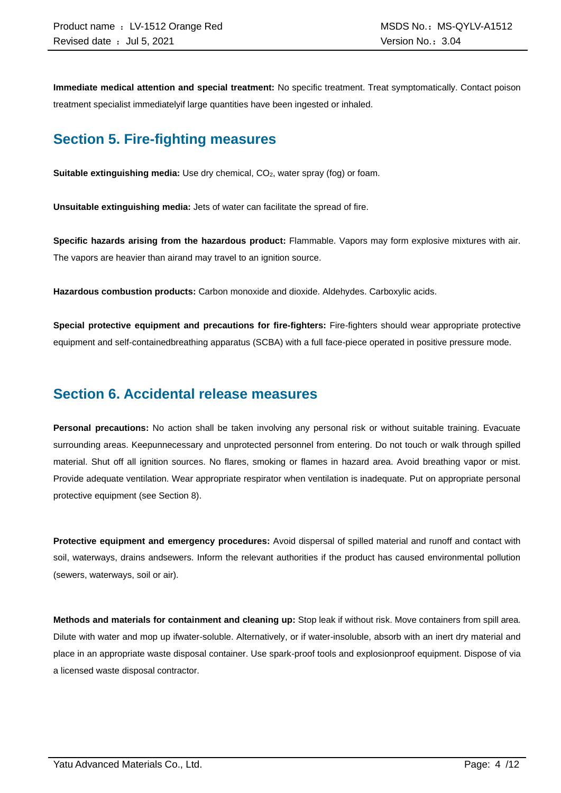**Immediate medical attention and special treatment:** No specific treatment. Treat symptomatically. Contact poison treatment specialist immediatelyif large quantities have been ingested or inhaled.

### **Section 5. Fire-fighting measures**

**Suitable extinguishing media:** Use dry chemical, CO<sub>2</sub>, water spray (fog) or foam.

**Unsuitable extinguishing media:** Jets of water can facilitate the spread of fire.

**Specific hazards arising from the hazardous product:** Flammable. Vapors may form explosive mixtures with air. The vapors are heavier than airand may travel to an ignition source.

**Hazardous combustion products:** Carbon monoxide and dioxide. Aldehydes. Carboxylic acids.

**Special protective equipment and precautions for fire-fighters:** Fire-fighters should wear appropriate protective equipment and self-containedbreathing apparatus (SCBA) with a full face-piece operated in positive pressure mode.

### **Section 6. Accidental release measures**

**Personal precautions:** No action shall be taken involving any personal risk or without suitable training. Evacuate surrounding areas. Keepunnecessary and unprotected personnel from entering. Do not touch or walk through spilled material. Shut off all ignition sources. No flares, smoking or flames in hazard area. Avoid breathing vapor or mist. Provide adequate ventilation. Wear appropriate respirator when ventilation is inadequate. Put on appropriate personal protective equipment (see Section 8).

**Protective equipment and emergency procedures:** Avoid dispersal of spilled material and runoff and contact with soil, waterways, drains andsewers. Inform the relevant authorities if the product has caused environmental pollution (sewers, waterways, soil or air).

**Methods and materials for containment and cleaning up:** Stop leak if without risk. Move containers from spill area. Dilute with water and mop up ifwater-soluble. Alternatively, or if water-insoluble, absorb with an inert dry material and place in an appropriate waste disposal container. Use spark-proof tools and explosionproof equipment. Dispose of via a licensed waste disposal contractor.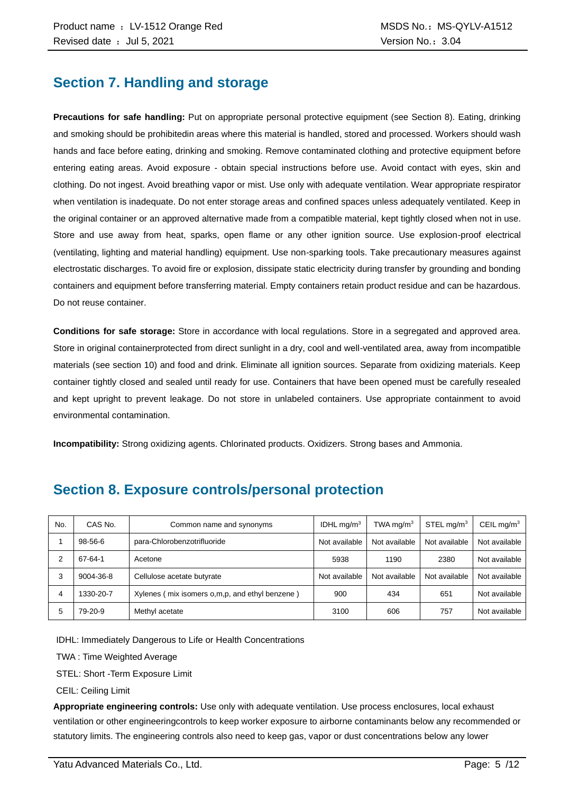### **Section 7. Handling and storage**

**Precautions for safe handling:** Put on appropriate personal protective equipment (see Section 8). Eating, drinking and smoking should be prohibitedin areas where this material is handled, stored and processed. Workers should wash hands and face before eating, drinking and smoking. Remove contaminated clothing and protective equipment before entering eating areas. Avoid exposure - obtain special instructions before use. Avoid contact with eyes, skin and clothing. Do not ingest. Avoid breathing vapor or mist. Use only with adequate ventilation. Wear appropriate respirator when ventilation is inadequate. Do not enter storage areas and confined spaces unless adequately ventilated. Keep in the original container or an approved alternative made from a compatible material, kept tightly closed when not in use. Store and use away from heat, sparks, open flame or any other ignition source. Use explosion-proof electrical (ventilating, lighting and material handling) equipment. Use non-sparking tools. Take precautionary measures against electrostatic discharges. To avoid fire or explosion, dissipate static electricity during transfer by grounding and bonding containers and equipment before transferring material. Empty containers retain product residue and can be hazardous. Do not reuse container.

**Conditions for safe storage:** Store in accordance with local regulations. Store in a segregated and approved area. Store in original containerprotected from direct sunlight in a dry, cool and well-ventilated area, away from incompatible materials (see section 10) and food and drink. Eliminate all ignition sources. Separate from oxidizing materials. Keep container tightly closed and sealed until ready for use. Containers that have been opened must be carefully resealed and kept upright to prevent leakage. Do not store in unlabeled containers. Use appropriate containment to avoid environmental contamination.

**Incompatibility:** Strong oxidizing agents. Chlorinated products. Oxidizers. Strong bases and Ammonia.

| No. | CAS No.   | Common name and synonyms                       | IDHL $mq/m3$  | TWA mg/m $3$  | STEL mg/m $3$ | CEIL mg/ $m3$ |
|-----|-----------|------------------------------------------------|---------------|---------------|---------------|---------------|
|     | 98-56-6   | para-Chlorobenzotrifluoride                    | Not available | Not available | Not available | Not available |
|     | 67-64-1   | Acetone                                        | 5938          | 1190          | 2380          | Not available |
| 3   | 9004-36-8 | Cellulose acetate butyrate                     | Not available | Not available | Not available | Not available |
| 4   | 1330-20-7 | Xylenes (mix isomers o,m,p, and ethyl benzene) | 900           | 434           | 651           | Not available |
| 5   | 79-20-9   | Methyl acetate                                 | 3100          | 606           | 757           | Not available |

### **Section 8. Exposure controls/personal protection**

IDHL: Immediately Dangerous to Life or Health Concentrations

TWA : Time Weighted Average

STEL: Short -Term Exposure Limit

CEIL: Ceiling Limit

**Appropriate engineering controls:** Use only with adequate ventilation. Use process enclosures, local exhaust ventilation or other engineeringcontrols to keep worker exposure to airborne contaminants below any recommended or statutory limits. The engineering controls also need to keep gas, vapor or dust concentrations below any lower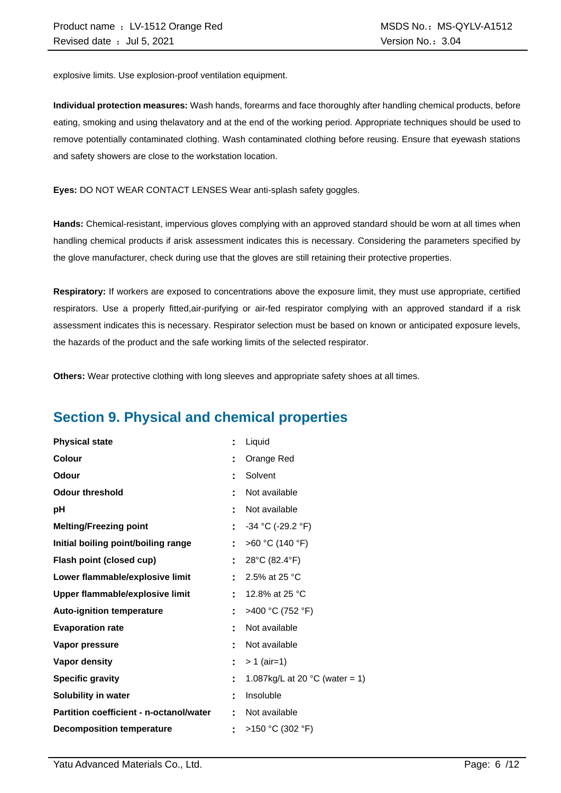explosive limits. Use explosion-proof ventilation equipment.

**Individual protection measures:** Wash hands, forearms and face thoroughly after handling chemical products, before eating, smoking and using thelavatory and at the end of the working period. Appropriate techniques should be used to remove potentially contaminated clothing. Wash contaminated clothing before reusing. Ensure that eyewash stations and safety showers are close to the workstation location.

**Eyes:** DO NOT WEAR CONTACT LENSES Wear anti-splash safety goggles.

**Hands:** Chemical-resistant, impervious gloves complying with an approved standard should be worn at all times when handling chemical products if arisk assessment indicates this is necessary. Considering the parameters specified by the glove manufacturer, check during use that the gloves are still retaining their protective properties.

**Respiratory:** If workers are exposed to concentrations above the exposure limit, they must use appropriate, certified respirators. Use a properly fitted,air-purifying or air-fed respirator complying with an approved standard if a risk assessment indicates this is necessary. Respirator selection must be based on known or anticipated exposure levels, the hazards of the product and the safe working limits of the selected respirator.

**Others:** Wear protective clothing with long sleeves and appropriate safety shoes at all times.

### **Section 9. Physical and chemical properties**

| <b>Physical state</b>                          | ÷  | Liquid                                   |
|------------------------------------------------|----|------------------------------------------|
| <b>Colour</b>                                  |    | Orange Red                               |
| Odour                                          |    | Solvent                                  |
| <b>Odour threshold</b>                         |    | Not available                            |
| рH                                             |    | Not available                            |
| <b>Melting/Freezing point</b>                  | ÷  | $-34$ °C (-29.2 °F)                      |
| Initial boiling point/boiling range            |    | >60 °C (140 °F)                          |
| Flash point (closed cup)                       | ÷  | 28°C (82.4°F)                            |
| Lower flammable/explosive limit                |    | 2.5% at 25 °C                            |
| Upper flammable/explosive limit                | t. | 12.8% at 25 °C                           |
| <b>Auto-ignition temperature</b>               |    | >400 °C (752 °F)                         |
| <b>Evaporation rate</b>                        |    | Not available                            |
| Vapor pressure                                 |    | Not available                            |
| <b>Vapor density</b>                           | ÷. | $> 1$ (air=1)                            |
| <b>Specific gravity</b>                        | ÷  | 1.087kg/L at 20 $^{\circ}$ C (water = 1) |
| Solubility in water                            | ٠  | Insoluble                                |
| <b>Partition coefficient - n-octanol/water</b> |    | Not available                            |
| <b>Decomposition temperature</b>               |    | >150 °C (302 °F)                         |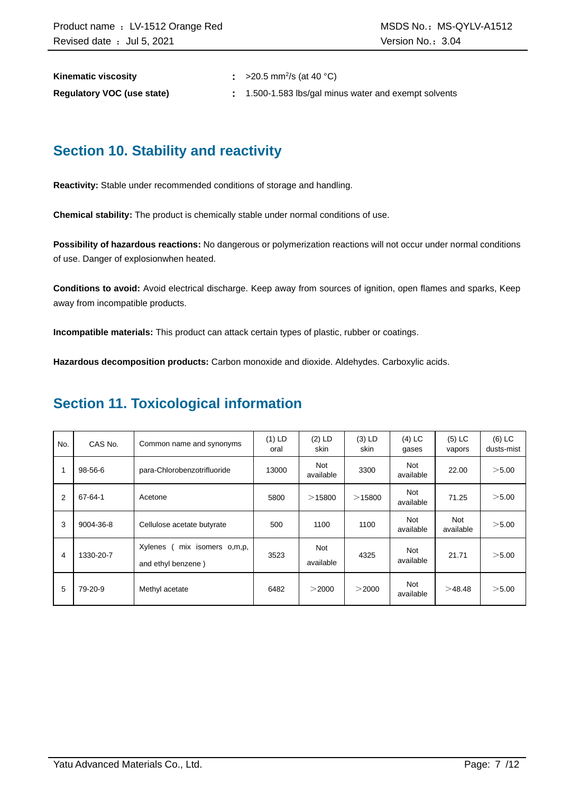**Kinematic viscosity** 

:  $>20.5$  mm<sup>2</sup>/s (at 40 °C)

**Regulatory VOC (use state) :** 1.500-1.583 lbs/gal minus water and exempt solvents

### **Section 10. Stability and reactivity**

**Reactivity:** Stable under recommended conditions of storage and handling.

**Chemical stability:** The product is chemically stable under normal conditions of use.

**Possibility of hazardous reactions:** No dangerous or polymerization reactions will not occur under normal conditions of use. Danger of explosionwhen heated.

**Conditions to avoid:** Avoid electrical discharge. Keep away from sources of ignition, open flames and sparks, Keep away from incompatible products.

**Incompatible materials:** This product can attack certain types of plastic, rubber or coatings.

**Hazardous decomposition products:** Carbon monoxide and dioxide. Aldehydes. Carboxylic acids.

### **Section 11. Toxicological information**

| No. | CAS No.   | Common name and synonyms                            | $(1)$ LD<br>oral | $(2)$ LD<br>skin | $(3)$ LD<br>skin | $(4)$ LC<br>gases       | $(5)$ LC<br>vapors | $(6)$ LC<br>dusts-mist |
|-----|-----------|-----------------------------------------------------|------------------|------------------|------------------|-------------------------|--------------------|------------------------|
|     | 98-56-6   | para-Chlorobenzotrifluoride                         | 13000            | Not<br>available | 3300             | <b>Not</b><br>available | 22.00              | $>$ 5.00               |
| 2   | 67-64-1   | Acetone                                             | 5800             | >15800           | $>$ 15800        | <b>Not</b><br>available | 71.25              | >5.00                  |
| 3   | 9004-36-8 | Cellulose acetate butyrate                          | 500              | 1100             | 1100             | <b>Not</b><br>available | Not<br>available   | >5.00                  |
| 4   | 1330-20-7 | Xylenes<br>mix isomers o,m,p,<br>and ethyl benzene) | 3523             | Not<br>available | 4325             | <b>Not</b><br>available | 21.71              | >5.00                  |
| 5   | 79-20-9   | Methyl acetate                                      | 6482             | $>$ 2000         | >2000            | Not<br>available        | >48.48             | >5.00                  |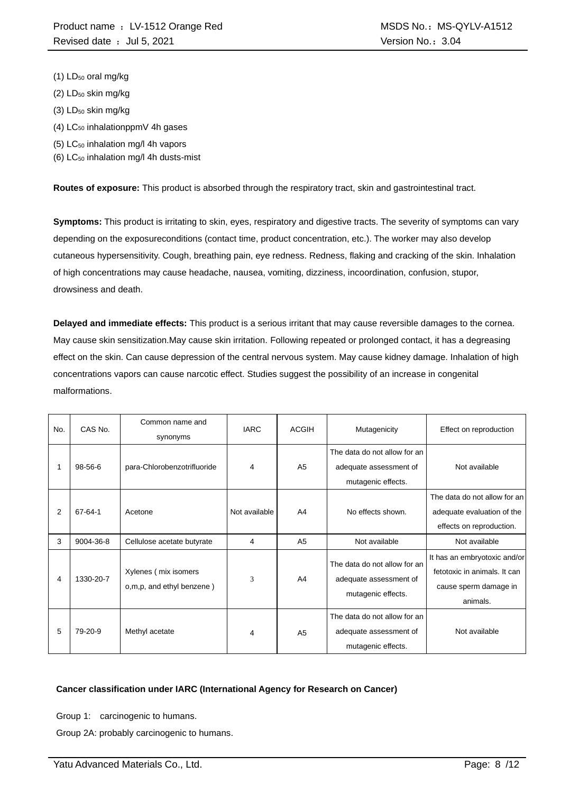- (1) LD<sub>50</sub> oral mg/kg
- $(2)$  LD<sub>50</sub> skin mg/kg
- (3) LD<sub>50</sub> skin mg/kg
- $(4)$  LC<sub>50</sub> inhalationppmV 4h gases
- (5) LC<sup>50</sup> inhalation mg/l 4h vapors
- (6)  $LC_{50}$  inhalation mg/l 4h dusts-mist

**Routes of exposure:** This product is absorbed through the respiratory tract, skin and gastrointestinal tract.

**Symptoms:** This product is irritating to skin, eyes, respiratory and digestive tracts. The severity of symptoms can vary depending on the exposureconditions (contact time, product concentration, etc.). The worker may also develop cutaneous hypersensitivity. Cough, breathing pain, eye redness. Redness, flaking and cracking of the skin. Inhalation of high concentrations may cause headache, nausea, vomiting, dizziness, incoordination, confusion, stupor, drowsiness and death.

**Delayed and immediate effects:** This product is a serious irritant that may cause reversible damages to the cornea. May cause skin sensitization.May cause skin irritation. Following repeated or prolonged contact, it has a degreasing effect on the skin. Can cause depression of the central nervous system. May cause kidney damage. Inhalation of high concentrations vapors can cause narcotic effect. Studies suggest the possibility of an increase in congenital malformations.

| No. | CAS No.   | Common name and<br>synonyms                       | <b>IARC</b>   | <b>ACGIH</b>   | Mutagenicity                                                                 | Effect on reproduction                                                                            |
|-----|-----------|---------------------------------------------------|---------------|----------------|------------------------------------------------------------------------------|---------------------------------------------------------------------------------------------------|
|     | 98-56-6   | para-Chlorobenzotrifluoride                       | 4             | A <sub>5</sub> | The data do not allow for an<br>adequate assessment of<br>mutagenic effects. | Not available                                                                                     |
| 2   | 67-64-1   | Acetone                                           | Not available | A4             | No effects shown.                                                            | The data do not allow for an<br>adequate evaluation of the<br>effects on reproduction.            |
| 3   | 9004-36-8 | Cellulose acetate butyrate                        | 4             | A <sub>5</sub> | Not available                                                                | Not available                                                                                     |
| 4   | 1330-20-7 | Xylenes (mix isomers<br>o,m,p, and ethyl benzene) | 3             | A4             | The data do not allow for an<br>adequate assessment of<br>mutagenic effects. | It has an embryotoxic and/or<br>fetotoxic in animals. It can<br>cause sperm damage in<br>animals. |
| 5   | 79-20-9   | Methyl acetate                                    | 4             | A <sub>5</sub> | The data do not allow for an<br>adequate assessment of<br>mutagenic effects. | Not available                                                                                     |

#### **Cancer classification under IARC (International Agency for Research on Cancer)**

Group 1: carcinogenic to humans.

Group 2A: probably carcinogenic to humans.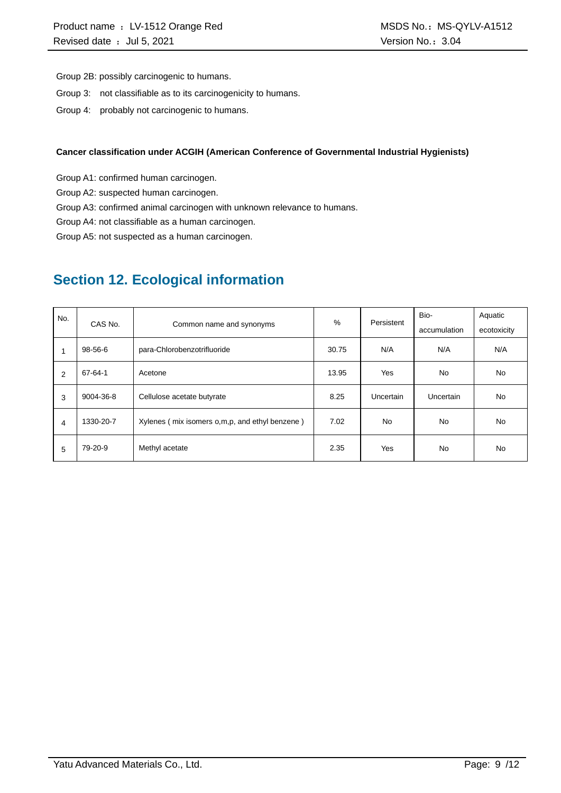Group 2B: possibly carcinogenic to humans.

- Group 3: not classifiable as to its carcinogenicity to humans.
- Group 4: probably not carcinogenic to humans.

#### **Cancer classification under ACGIH (American Conference of Governmental Industrial Hygienists)**

Group A1: confirmed human carcinogen.

Group A2: suspected human carcinogen.

Group A3: confirmed animal carcinogen with unknown relevance to humans.

Group A4: not classifiable as a human carcinogen.

Group A5: not suspected as a human carcinogen.

### **Section 12. Ecological information**

| No. | CAS No.   | Common name and synonyms                       | %     | Persistent | Bio-         | Aquatic     |
|-----|-----------|------------------------------------------------|-------|------------|--------------|-------------|
|     |           |                                                |       |            | accumulation | ecotoxicity |
|     | 98-56-6   | para-Chlorobenzotrifluoride                    | 30.75 | N/A        | N/A          | N/A         |
| 2   | 67-64-1   | Acetone                                        | 13.95 | Yes        | No           | <b>No</b>   |
| 3   | 9004-36-8 | Cellulose acetate butyrate                     | 8.25  | Uncertain  | Uncertain    | <b>No</b>   |
| 4   | 1330-20-7 | Xylenes (mix isomers o,m,p, and ethyl benzene) | 7.02  | <b>No</b>  | <b>No</b>    | <b>No</b>   |
| 5   | 79-20-9   | Methyl acetate                                 | 2.35  | Yes        | No           | <b>No</b>   |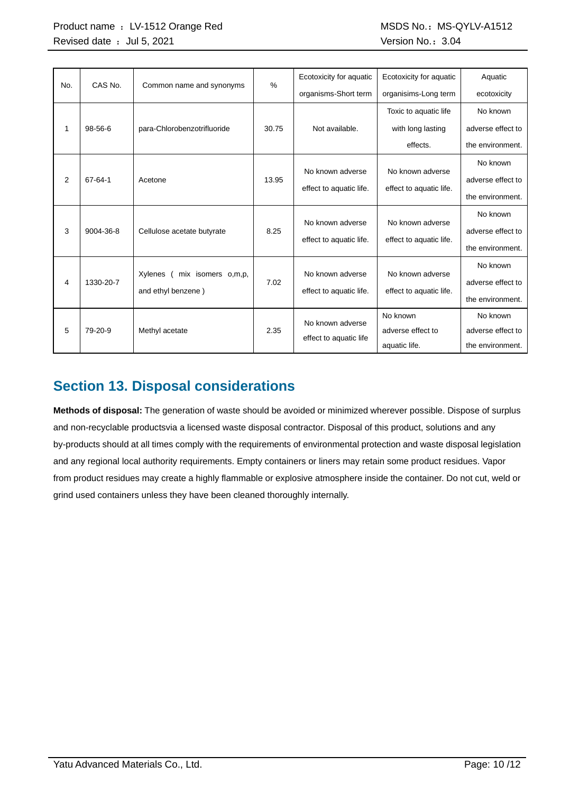| No. | CAS No.       | Common name and synonyms      | $\%$  | Ecotoxicity for aquatic | Ecotoxicity for aquatic | Aquatic           |
|-----|---------------|-------------------------------|-------|-------------------------|-------------------------|-------------------|
|     |               |                               |       | organisms-Short term    | organisims-Long term    | ecotoxicity       |
|     |               |                               |       |                         | Toxic to aquatic life   | No known          |
| 1   | $98 - 56 - 6$ | para-Chlorobenzotrifluoride   | 30.75 | Not available.          | with long lasting       | adverse effect to |
|     |               |                               |       |                         | effects.                | the environment.  |
|     |               |                               |       |                         | No known adverse        | No known          |
| 2   | 67-64-1       | Acetone                       | 13.95 | No known adverse        |                         | adverse effect to |
|     |               |                               |       | effect to aquatic life. | effect to aquatic life. | the environment.  |
|     |               |                               |       |                         |                         | No known          |
| 3   | 9004-36-8     | Cellulose acetate butyrate    | 8.25  | No known adverse        | No known adverse        | adverse effect to |
|     |               |                               |       | effect to aquatic life. | effect to aquatic life. | the environment.  |
|     |               |                               |       |                         |                         | No known          |
| 4   | 1330-20-7     | Xylenes<br>mix isomers o,m,p, | 7.02  | No known adverse        | No known adverse        | adverse effect to |
|     |               | and ethyl benzene)            |       | effect to aquatic life. | effect to aquatic life. | the environment.  |
|     |               |                               |       | No known adverse        | No known                | No known          |
| 5   | 79-20-9       | Methyl acetate                | 2.35  | effect to aquatic life  | adverse effect to       | adverse effect to |
|     |               |                               |       |                         | aquatic life.           | the environment.  |

## **Section 13. Disposal considerations**

**Methods of disposal:** The generation of waste should be avoided or minimized wherever possible. Dispose of surplus and non-recyclable productsvia a licensed waste disposal contractor. Disposal of this product, solutions and any by-products should at all times comply with the requirements of environmental protection and waste disposal legislation and any regional local authority requirements. Empty containers or liners may retain some product residues. Vapor from product residues may create a highly flammable or explosive atmosphere inside the container. Do not cut, weld or grind used containers unless they have been cleaned thoroughly internally.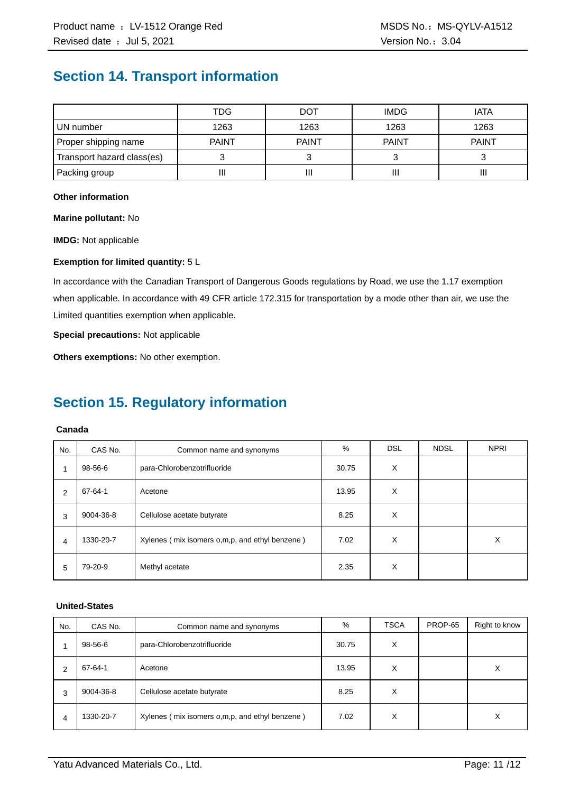### **Section 14. Transport information**

|                            | TDG          | <b>DOT</b>   | <b>IMDG</b>  | <b>IATA</b>  |
|----------------------------|--------------|--------------|--------------|--------------|
| UN number                  | 1263         | 1263         | 1263         | 1263         |
| Proper shipping name       | <b>PAINT</b> | <b>PAINT</b> | <b>PAINT</b> | <b>PAINT</b> |
| Transport hazard class(es) |              |              |              |              |
| Packing group              | П            | Ш            |              | Ш            |

#### **Other information**

**Marine pollutant:** No

**IMDG:** Not applicable

#### **Exemption for limited quantity:** 5 L

In accordance with the Canadian Transport of Dangerous Goods regulations by Road, we use the 1.17 exemption when applicable. In accordance with 49 CFR article 172.315 for transportation by a mode other than air, we use the Limited quantities exemption when applicable.

**Special precautions:** Not applicable

**Others exemptions:** No other exemption.

### **Section 15. Regulatory information**

#### **Canada**

| No.            | CAS No.   | Common name and synonyms                         | %     | <b>DSL</b> | <b>NDSL</b> | <b>NPRI</b> |
|----------------|-----------|--------------------------------------------------|-------|------------|-------------|-------------|
| 1              | 98-56-6   | para-Chlorobenzotrifluoride                      | 30.75 | X          |             |             |
| $\overline{2}$ | 67-64-1   | Acetone                                          | 13.95 | X          |             |             |
| 3              | 9004-36-8 | Cellulose acetate butyrate                       | 8.25  | X          |             |             |
| 4              | 1330-20-7 | Xylenes (mix isomers o, m, p, and ethyl benzene) | 7.02  | X          |             | х           |
| 5              | 79-20-9   | Methyl acetate                                   | 2.35  | X          |             |             |

#### **United-States**

| No. | CAS No.   | Common name and synonyms                       | %     | <b>TSCA</b> | PROP-65 | Right to know |
|-----|-----------|------------------------------------------------|-------|-------------|---------|---------------|
|     | 98-56-6   | para-Chlorobenzotrifluoride                    | 30.75 | X           |         |               |
| 2   | 67-64-1   | Acetone                                        | 13.95 | х           |         | Х             |
| 3   | 9004-36-8 | Cellulose acetate butyrate                     | 8.25  | х           |         |               |
| 4   | 1330-20-7 | Xylenes (mix isomers o,m,p, and ethyl benzene) | 7.02  | х           |         | X             |